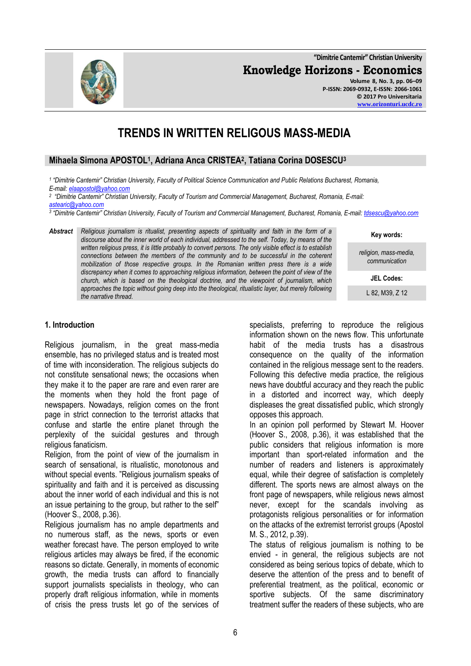**"Dimitrie Cantemir" Christian University Knowledge Horizons - Economics Volume 8, No. 3, pp. 06–09 P-ISSN: 2069-0932, E-ISSN: 2066-1061**

# **TRENDS IN WRITTEN RELIGOUS MASS-MEDIA**

## **Mihaela Simona APOSTOL<sup>1</sup> , Adriana Anca CRISTEA<sup>2</sup> , Tatiana Corina DOSESCU<sup>3</sup>**

*1 "Dimitrie Cantemir" Christian University, Faculty of Political Science Communication and Public Relations Bucharest, Romania, E-mail: [elaapostol@yahoo.com](mailto:elaapostol@yahoo.com)*

*2 "Dimitrie Cantemir" Christian University, Faculty of Tourism and Commercial Management, Bucharest, Romania, E-mail:* 

*[astearic@yahoo.com](mailto:astearic@yahoo.com) 3 "Dimitrie Cantemir" Christian University, Faculty of Tourism and Commercial Management, Bucharest, Romania, E-mail[: tdsescu@yahoo.com](mailto:tdsescu@yahoo.com)*

*Abstract Religious journalism is ritualist, presenting aspects of spirituality and faith in the form of a discourse about the inner world of each individual, addressed to the self. Today, by means of the written religious press, it is little probably to convert persons. The only visible effect is to establish connections between the members of the community and to be successful in the coherent mobilization of those respective groups. In the Romanian written press there is a wide discrepancy when it comes to approaching religious information, between the point of view of the church, which is based on the theological doctrine, and the viewpoint of journalism, which approaches the topic without going deep into the theological, ritualistic layer, but merely following the narrative thread.*

#### **1. Introduction**

Religious journalism, in the great mass-media ensemble, has no privileged status and is treated most of time with inconsideration. The religious subjects do not constitute sensational news; the occasions when they make it to the paper are rare and even rarer are the moments when they hold the front page of newspapers. Nowadays, religion comes on the front page in strict connection to the terrorist attacks that confuse and startle the entire planet through the perplexity of the suicidal gestures and through religious fanaticism.

Religion, from the point of view of the journalism in search of sensational, is ritualistic, monotonous and without special events. "Religious journalism speaks of spirituality and faith and it is perceived as discussing about the inner world of each individual and this is not an issue pertaining to the group, but rather to the self" (Hoover S., 2008, p.36).

Religious journalism has no ample departments and no numerous staff, as the news, sports or even weather forecast have. The person employed to write religious articles may always be fired, if the economic reasons so dictate. Generally, in moments of economic growth, the media trusts can afford to financially support journalists specialists in theology, who can properly draft religious information, while in moments of crisis the press trusts let go of the services of specialists, preferring to reproduce the religious information shown on the news flow. This unfortunate habit of the media trusts has a disastrous consequence on the quality of the information contained in the religious message sent to the readers. Following this defective media practice, the religious news have doubtful accuracy and they reach the public in a distorted and incorrect way, which deeply displeases the great dissatisfied public, which strongly opposes this approach.

In an opinion poll performed by Stewart M. Hoover (Hoover S., 2008, p.36), it was established that the public considers that religious information is more important than sport-related information and the number of readers and listeners is approximately equal, while their degree of satisfaction is completely different. The sports news are almost always on the front page of newspapers, while religious news almost never, except for the scandals involving as protagonists religious personalities or for information on the attacks of the extremist terrorist groups (Apostol M. S., 2012, p.39).

The status of religious journalism is nothing to be envied - in general, the religious subjects are not considered as being serious topics of debate, which to deserve the attention of the press and to benefit of preferential treatment, as the political, economic or sportive subjects. Of the same discriminatory treatment suffer the readers of these subjects, who are

**Key words:**

*religion, mass-media, communication*

**JEL Codes:**

L 82, M39, Z 12

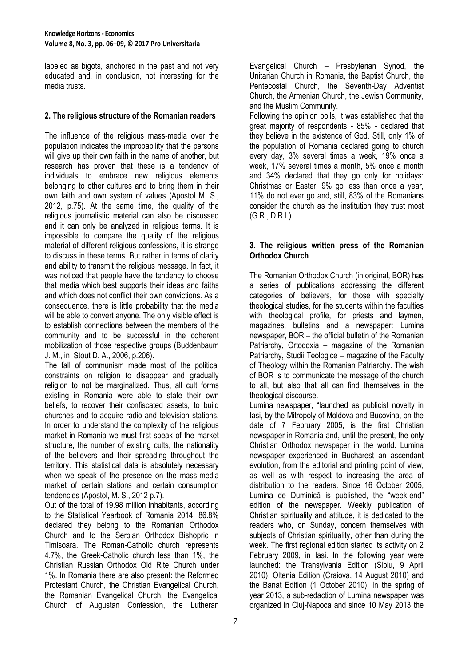labeled as bigots, anchored in the past and not very educated and, in conclusion, not interesting for the media trusts.

### **2. The religious structure of the Romanian readers**

The influence of the religious mass-media over the population indicates the improbability that the persons will give up their own faith in the name of another, but research has proven that these is a tendency of individuals to embrace new religious elements belonging to other cultures and to bring them in their own faith and own system of values (Apostol M. S., 2012, p.75). At the same time, the quality of the religious journalistic material can also be discussed and it can only be analyzed in religious terms. It is impossible to compare the quality of the religious material of different religious confessions, it is strange to discuss in these terms. But rather in terms of clarity and ability to transmit the religious message. In fact, it was noticed that people have the tendency to choose that media which best supports their ideas and faiths and which does not conflict their own convictions. As a consequence, there is little probability that the media will be able to convert anyone. The only visible effect is to establish connections between the members of the community and to be successful in the coherent mobilization of those respective groups (Buddenbaum J. M., in Stout D. A., 2006, p.206).

The fall of communism made most of the political constraints on religion to disappear and gradually religion to not be marginalized. Thus, all cult forms existing in Romania were able to state their own beliefs, to recover their confiscated assets, to build churches and to acquire radio and television stations. In order to understand the complexity of the religious market in Romania we must first speak of the market structure, the number of existing cults, the nationality of the believers and their spreading throughout the territory. This statistical data is absolutely necessary when we speak of the presence on the mass-media market of certain stations and certain consumption tendencies (Apostol, M. S., 2012 p.7).

Out of the total of 19.98 million inhabitants, according to the Statistical Yearbook of Romania 2014, 86.8% declared they belong to the Romanian Orthodox Church and to the Serbian Orthodox Bishopric in Timisoara. The Roman-Catholic church represents 4.7%, the Greek-Catholic church less than 1%, the Christian Russian Orthodox Old Rite Church under 1%. In Romania there are also present: the Reformed Protestant Church, the Christian Evangelical Church, the Romanian Evangelical Church, the Evangelical Church of Augustan Confession, the Lutheran

Evangelical Church – Presbyterian Synod, the Unitarian Church in Romania, the Baptist Church, the Pentecostal Church, the Seventh-Day Adventist Church, the Armenian Church, the Jewish Community, and the Muslim Community.

Following the opinion polls, it was established that the great majority of respondents - 85% - declared that they believe in the existence of God. Still, only 1% of the population of Romania declared going to church every day, 3% several times a week, 19% once a week, 17% several times a month, 5% once a month and 34% declared that they go only for holidays: Christmas or Easter, 9% go less than once a year, 11% do not ever go and, still, 83% of the Romanians consider the church as the institution they trust most (G.R., D.R.I.)

#### **3. The religious written press of the Romanian Orthodox Church**

The Romanian Orthodox Church (in original, BOR) has a series of publications addressing the different categories of believers, for those with specialty theological studies, for the students within the faculties with theological profile, for priests and laymen, magazines, bulletins and a newspaper: Lumina newspaper, BOR – the official bulletin of the Romanian Patriarchy, Ortodoxia – magazine of the Romanian Patriarchy, Studii Teologice – magazine of the Faculty of Theology within the Romanian Patriarchy. The wish of BOR is to communicate the message of the church to all, but also that all can find themselves in the theological discourse.

Lumina newspaper, "launched as publicist novelty in Iasi, by the Mitropoly of Moldova and Bucovina, on the date of 7 February 2005, is the first Christian newspaper in Romania and, until the present, the only Christian Orthodox newspaper in the world. Lumina newspaper experienced in Bucharest an ascendant evolution, from the editorial and printing point of view, as well as with respect to increasing the area of distribution to the readers. Since 16 October 2005, Lumina de Duminică is published, the "week-end" edition of the newspaper. Weekly publication of Christian spirituality and attitude, it is dedicated to the readers who, on Sunday, concern themselves with subjects of Christian spirituality, other than during the week. The first regional edition started its activity on 2 February 2009, in Iasi. In the following year were launched: the Transylvania Edition (Sibiu, 9 April 2010), Oltenia Edition (Craiova, 14 August 2010) and the Banat Edition (1 October 2010). In the spring of year 2013, a sub-redaction of Lumina newspaper was organized in Cluj-Napoca and since 10 May 2013 the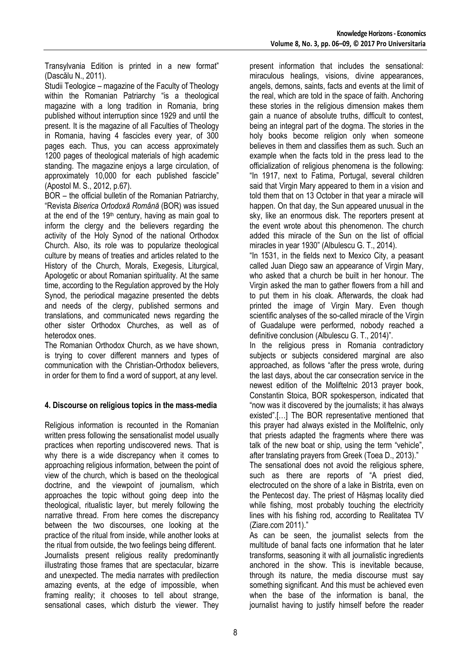Transylvania Edition is printed in a new format" (Dascălu N., 2011).

Studii Teologice – magazine of the Faculty of Theology within the Romanian Patriarchy "is a theological magazine with a long tradition in Romania, bring published without interruption since 1929 and until the present. It is the magazine of all Faculties of Theology in Romania, having 4 fascicles every year, of 300 pages each. Thus, you can access approximately 1200 pages of theological materials of high academic standing. The magazine enjoys a large circulation, of approximately 10,000 for each published fascicle" (Apostol M. S., 2012, p.67).

BOR – the official bulletin of the Romanian Patriarchy, "Revista *Biserica Ortodoxă Română* (ΒΟR) was issued at the end of the  $19<sup>th</sup>$  century, having as main goal to inform the clergy and the believers regarding the activity of the Holy Synod of the national Orthodox Church. Also, its role was to popularize theological culture by means of treaties and articles related to the History of the Church, Morals, Exegesis, Liturgical, Apologetic or about Romanian spirituality. At the same time, according to the Regulation approved by the Holy Synod, the periodical magazine presented the debts and needs of the clergy, published sermons and translations, and communicated news regarding the other sister Orthodox Churches, as well as of heterodox ones.

The Romanian Orthodox Church, as we have shown, is trying to cover different manners and types of communication with the Christian-Orthodox believers, in order for them to find a word of support, at any level.

# **4. Discourse on religious topics in the mass-media**

Religious information is recounted in the Romanian written press following the sensationalist model usually practices when reporting undiscovered news. That is why there is a wide discrepancy when it comes to approaching religious information, between the point of view of the church, which is based on the theological doctrine, and the viewpoint of journalism, which approaches the topic without going deep into the theological, ritualistic layer, but merely following the narrative thread. From here comes the discrepancy between the two discourses, one looking at the practice of the ritual from inside, while another looks at the ritual from outside, the two feelings being different. Journalists present religious reality predominantly illustrating those frames that are spectacular, bizarre and unexpected. The media narrates with predilection amazing events, at the edge of impossible, when

framing reality; it chooses to tell about strange, sensational cases, which disturb the viewer. They present information that includes the sensational: miraculous healings, visions, divine appearances, angels, demons, saints, facts and events at the limit of the real, which are told in the space of faith. Anchoring these stories in the religious dimension makes them gain a nuance of absolute truths, difficult to contest, being an integral part of the dogma. The stories in the holy books become religion only when someone believes in them and classifies them as such. Such an example when the facts told in the press lead to the officialization of religious phenomena is the following: "In 1917, next to Fatima, Portugal, several children said that Virgin Mary appeared to them in a vision and told them that on 13 October in that year a miracle will happen. On that day, the Sun appeared unusual in the sky, like an enormous disk. The reporters present at the event wrote about this phenomenon. The church added this miracle of the Sun on the list of official miracles in year 1930" (Albulescu G. T., 2014).

"In 1531, in the fields next to Mexico City, a peasant called Juan Diego saw an appearance of Virgin Mary, who asked that a church be built in her honour. The Virgin asked the man to gather flowers from a hill and to put them in his cloak. Afterwards, the cloak had printed the image of Virgin Mary. Even though scientific analyses of the so-called miracle of the Virgin of Guadalupe were performed, nobody reached a definitive conclusion (Albulescu G. T., 2014)".

In the religious press in Romania contradictory subjects or subjects considered marginal are also approached, as follows "after the press wrote, during the last days, about the car consecration service in the newest edition of the Moliftelnic 2013 prayer book, Constantin Stoica, BOR spokesperson, indicated that "now was it discovered by the journalists; it has always existed".[…] The BOR representative mentioned that this prayer had always existed in the Moliftelnic, only that priests adapted the fragments where there was talk of the new boat or ship, using the term "vehicle", after translating prayers from Greek (Toea D., 2013)."

The sensational does not avoid the religious sphere, such as there are reports of "A priest died, electrocuted on the shore of a lake in Bistrita, even on the Pentecost day. The priest of Hășmaș locality died while fishing, most probably touching the electricity lines with his fishing rod, according to Realitatea TV (Ziare.com 2011)."

As can be seen, the journalist selects from the multitude of banal facts one information that he later transforms, seasoning it with all journalistic ingredients anchored in the show. This is inevitable because, through its nature, the media discourse must say something significant. And this must be achieved even when the base of the information is banal, the journalist having to justify himself before the reader